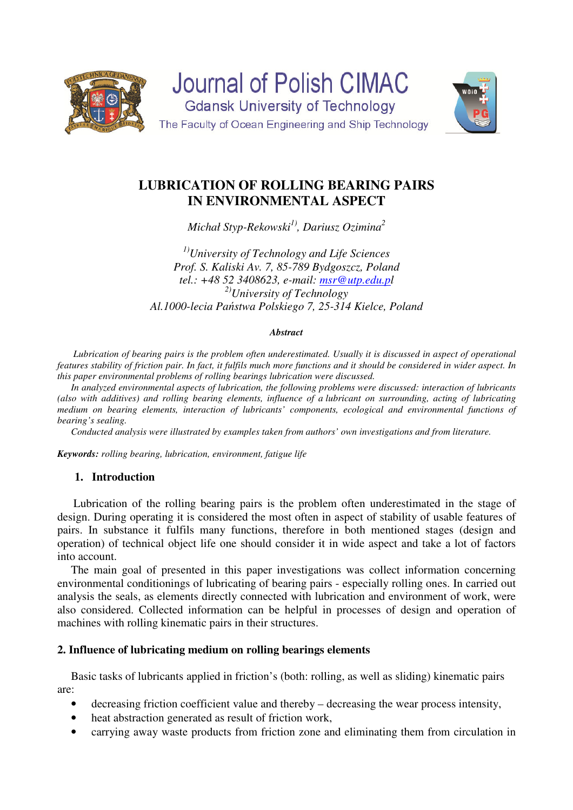



# **LUBRICATION OF ROLLING BEARING PAIRS IN ENVIRONMENTAL ASPECT**

*Michał Styp-Rekowski1), Dariusz Ozimina<sup>2</sup>*

*1)University of Technology and Life Sciences Prof. S. Kaliski Av. 7, 85-789 Bydgoszcz, Poland tel.: +48 52 3408623, e-mail: msr@utp.edu.pl 2)University of Technology Al.1000-lecia Państwa Polskiego 7, 25-314 Kielce, Poland* 

## *Abstract*

 *Lubrication of bearing pairs is the problem often underestimated. Usually it is discussed in aspect of operational features stability of friction pair. In fact, it fulfils much more functions and it should be considered in wider aspect. In this paper environmental problems of rolling bearings lubrication were discussed.* 

*In analyzed environmental aspects of lubrication, the following problems were discussed: interaction of lubricants (also with additives) and rolling bearing elements, influence of a lubricant on surrounding, acting of lubricating medium on bearing elements, interaction of lubricants' components, ecological and environmental functions of bearing's sealing.* 

*Conducted analysis were illustrated by examples taken from authors' own investigations and from literature.*

*Keywords: rolling bearing, lubrication, environment, fatigue life* 

# **1. Introduction**

Lubrication of the rolling bearing pairs is the problem often underestimated in the stage of design. During operating it is considered the most often in aspect of stability of usable features of pairs. In substance it fulfils many functions, therefore in both mentioned stages (design and operation) of technical object life one should consider it in wide aspect and take a lot of factors into account.

The main goal of presented in this paper investigations was collect information concerning environmental conditionings of lubricating of bearing pairs - especially rolling ones. In carried out analysis the seals, as elements directly connected with lubrication and environment of work, were also considered. Collected information can be helpful in processes of design and operation of machines with rolling kinematic pairs in their structures.

# **2. Influence of lubricating medium on rolling bearings elements**

Basic tasks of lubricants applied in friction's (both: rolling, as well as sliding) kinematic pairs are:

- decreasing friction coefficient value and thereby decreasing the wear process intensity,
- heat abstraction generated as result of friction work,
- carrying away waste products from friction zone and eliminating them from circulation in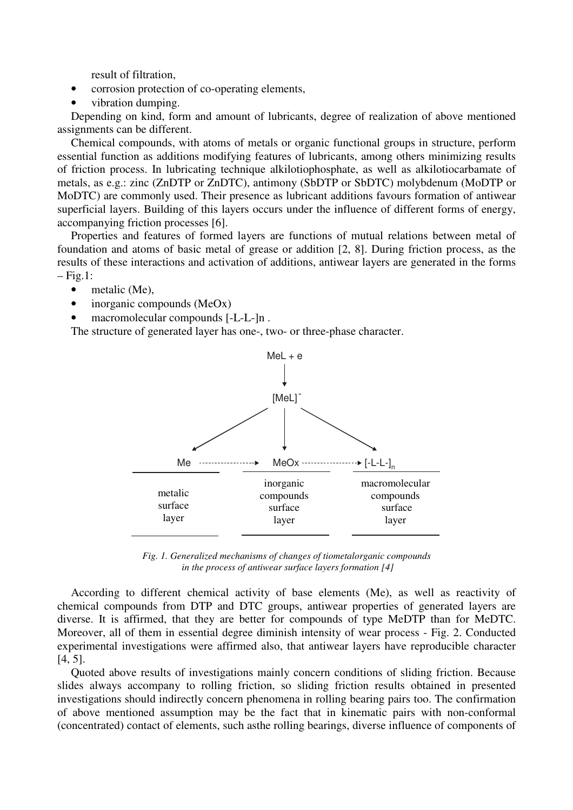result of filtration,

- corrosion protection of co-operating elements,
- vibration dumping.

Depending on kind, form and amount of lubricants, degree of realization of above mentioned assignments can be different.

Chemical compounds, with atoms of metals or organic functional groups in structure, perform essential function as additions modifying features of lubricants, among others minimizing results of friction process. In lubricating technique alkilotiophosphate, as well as alkilotiocarbamate of metals, as e.g.: zinc (ZnDTP or ZnDTC), antimony (SbDTP or SbDTC) molybdenum (MoDTP or MoDTC) are commonly used. Their presence as lubricant additions favours formation of antiwear superficial layers. Building of this layers occurs under the influence of different forms of energy, accompanying friction processes [6].

Properties and features of formed layers are functions of mutual relations between metal of foundation and atoms of basic metal of grease or addition [2, 8]. During friction process, as the results of these interactions and activation of additions, antiwear layers are generated in the forms  $-Fig.1$ :

- metalic (Me),
- inorganic compounds (MeOx)
- macromolecular compounds [-L-L-]n.

The structure of generated layer has one-, two- or three-phase character.



*Fig. 1. Generalized mechanisms of changes of tiometalorganic compounds in the process of antiwear surface layers formation [4]* 

According to different chemical activity of base elements (Me), as well as reactivity of chemical compounds from DTP and DTC groups, antiwear properties of generated layers are diverse. It is affirmed, that they are better for compounds of type MeDTP than for MeDTC. Moreover, all of them in essential degree diminish intensity of wear process - Fig. 2. Conducted experimental investigations were affirmed also, that antiwear layers have reproducible character [4, 5].

Quoted above results of investigations mainly concern conditions of sliding friction. Because slides always accompany to rolling friction, so sliding friction results obtained in presented investigations should indirectly concern phenomena in rolling bearing pairs too. The confirmation of above mentioned assumption may be the fact that in kinematic pairs with non-conformal (concentrated) contact of elements, such asthe rolling bearings, diverse influence of components of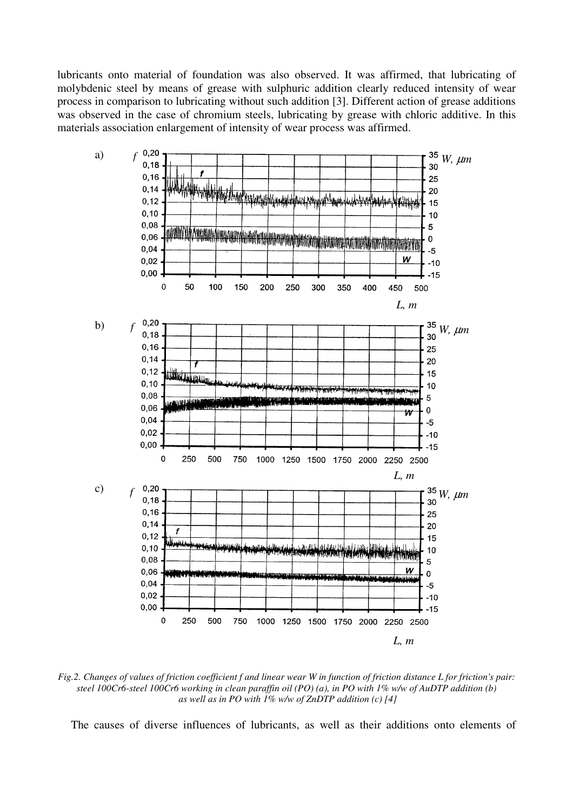lubricants onto material of foundation was also observed. It was affirmed, that lubricating of molybdenic steel by means of grease with sulphuric addition clearly reduced intensity of wear process in comparison to lubricating without such addition [3]. Different action of grease additions was observed in the case of chromium steels, lubricating by grease with chloric additive. In this materials association enlargement of intensity of wear process was affirmed.



*Fig.2. Changes of values of friction coefficient f and linear wear W in function of friction distance L for friction's pair: steel 100Cr6-steel 100Cr6 working in clean paraffin oil (PO) (a), in PO with 1% w/w of AuDTP addition (b) as well as in PO with 1% w/w of ZnDTP addition (c) [4]* 

The causes of diverse influences of lubricants, as well as their additions onto elements of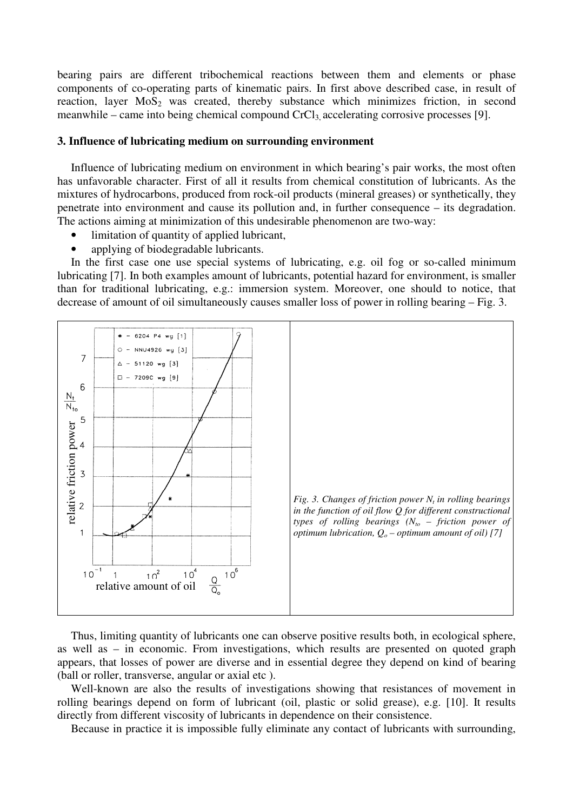bearing pairs are different tribochemical reactions between them and elements or phase components of co-operating parts of kinematic pairs. In first above described case, in result of reaction, layer  $MoS<sub>2</sub>$  was created, thereby substance which minimizes friction, in second meanwhile – came into being chemical compound  $CrCl<sub>3</sub>$  accelerating corrosive processes [9].

#### **3. Influence of lubricating medium on surrounding environment**

Influence of lubricating medium on environment in which bearing's pair works, the most often has unfavorable character. First of all it results from chemical constitution of lubricants. As the mixtures of hydrocarbons, produced from rock-oil products (mineral greases) or synthetically, they penetrate into environment and cause its pollution and, in further consequence – its degradation. The actions aiming at minimization of this undesirable phenomenon are two-way:

- limitation of quantity of applied lubricant,
- applying of biodegradable lubricants.

In the first case one use special systems of lubricating, e.g. oil fog or so-called minimum lubricating [7]. In both examples amount of lubricants, potential hazard for environment, is smaller than for traditional lubricating, e.g.: immersion system. Moreover, one should to notice, that decrease of amount of oil simultaneously causes smaller loss of power in rolling bearing – Fig. 3.



Thus, limiting quantity of lubricants one can observe positive results both, in ecological sphere, as well as – in economic. From investigations, which results are presented on quoted graph appears, that losses of power are diverse and in essential degree they depend on kind of bearing (ball or roller, transverse, angular or axial etc ).

Well-known are also the results of investigations showing that resistances of movement in rolling bearings depend on form of lubricant (oil, plastic or solid grease), e.g. [10]. It results directly from different viscosity of lubricants in dependence on their consistence.

Because in practice it is impossible fully eliminate any contact of lubricants with surrounding,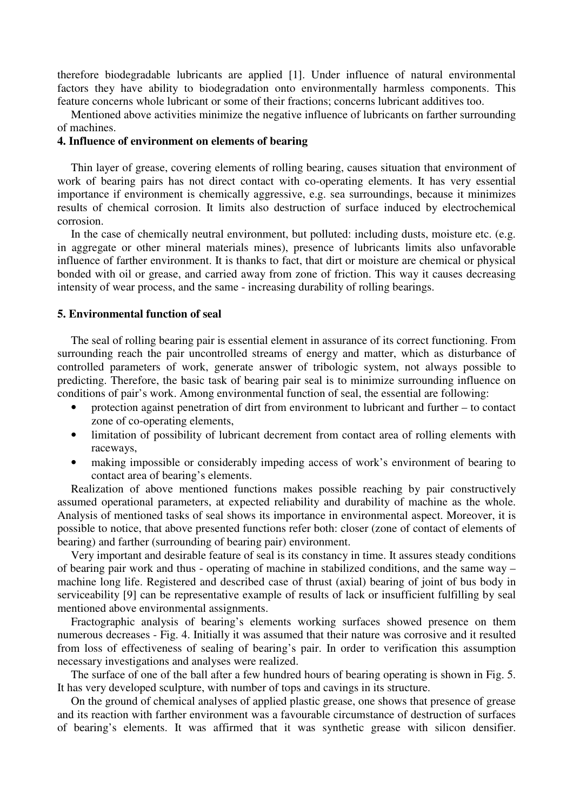therefore biodegradable lubricants are applied [1]. Under influence of natural environmental factors they have ability to biodegradation onto environmentally harmless components. This feature concerns whole lubricant or some of their fractions; concerns lubricant additives too.

Mentioned above activities minimize the negative influence of lubricants on farther surrounding of machines.

#### **4. Influence of environment on elements of bearing**

Thin layer of grease, covering elements of rolling bearing, causes situation that environment of work of bearing pairs has not direct contact with co-operating elements. It has very essential importance if environment is chemically aggressive, e.g. sea surroundings, because it minimizes results of chemical corrosion. It limits also destruction of surface induced by electrochemical corrosion.

In the case of chemically neutral environment, but polluted: including dusts, moisture etc. (e.g. in aggregate or other mineral materials mines), presence of lubricants limits also unfavorable influence of farther environment. It is thanks to fact, that dirt or moisture are chemical or physical bonded with oil or grease, and carried away from zone of friction. This way it causes decreasing intensity of wear process, and the same - increasing durability of rolling bearings.

## **5. Environmental function of seal**

The seal of rolling bearing pair is essential element in assurance of its correct functioning. From surrounding reach the pair uncontrolled streams of energy and matter, which as disturbance of controlled parameters of work, generate answer of tribologic system, not always possible to predicting. Therefore, the basic task of bearing pair seal is to minimize surrounding influence on conditions of pair's work. Among environmental function of seal, the essential are following:

- protection against penetration of dirt from environment to lubricant and further to contact zone of co-operating elements,
- limitation of possibility of lubricant decrement from contact area of rolling elements with raceways,
- making impossible or considerably impeding access of work's environment of bearing to contact area of bearing's elements.

Realization of above mentioned functions makes possible reaching by pair constructively assumed operational parameters, at expected reliability and durability of machine as the whole. Analysis of mentioned tasks of seal shows its importance in environmental aspect. Moreover, it is possible to notice, that above presented functions refer both: closer (zone of contact of elements of bearing) and farther (surrounding of bearing pair) environment.

Very important and desirable feature of seal is its constancy in time. It assures steady conditions of bearing pair work and thus - operating of machine in stabilized conditions, and the same way – machine long life. Registered and described case of thrust (axial) bearing of joint of bus body in serviceability [9] can be representative example of results of lack or insufficient fulfilling by seal mentioned above environmental assignments.

Fractographic analysis of bearing's elements working surfaces showed presence on them numerous decreases - Fig. 4. Initially it was assumed that their nature was corrosive and it resulted from loss of effectiveness of sealing of bearing's pair. In order to verification this assumption necessary investigations and analyses were realized.

The surface of one of the ball after a few hundred hours of bearing operating is shown in Fig. 5. It has very developed sculpture, with number of tops and cavings in its structure.

On the ground of chemical analyses of applied plastic grease, one shows that presence of grease and its reaction with farther environment was a favourable circumstance of destruction of surfaces of bearing's elements. It was affirmed that it was synthetic grease with silicon densifier.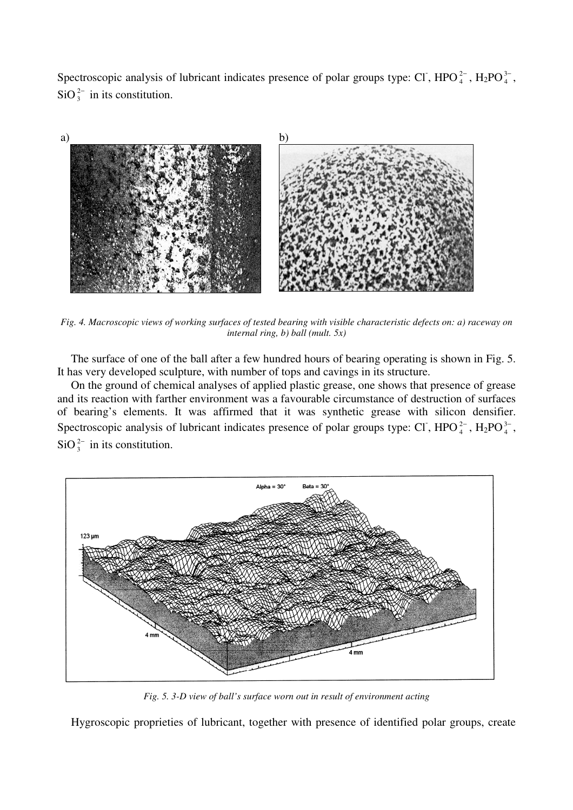Spectroscopic analysis of lubricant indicates presence of polar groups type: CI, HPO $_4^{2-}$ , H<sub>2</sub>PO $_4^{3-}$ , SiO $_3^{2-}$  in its constitution.



*Fig. 4. Macroscopic views of working surfaces of tested bearing with visible characteristic defects on: a) raceway on internal ring, b) ball (mult. 5x)* 

The surface of one of the ball after a few hundred hours of bearing operating is shown in Fig. 5. It has very developed sculpture, with number of tops and cavings in its structure.

On the ground of chemical analyses of applied plastic grease, one shows that presence of grease and its reaction with farther environment was a favourable circumstance of destruction of surfaces of bearing's elements. It was affirmed that it was synthetic grease with silicon densifier. Spectroscopic analysis of lubricant indicates presence of polar groups type: CI, HPO $_4^{2-}$ , H<sub>2</sub>PO $_4^{3-}$ , SiO $_3^{2-}$  in its constitution.



*Fig. 5. 3-D view of ball's surface worn out in result of environment acting* 

Hygroscopic proprieties of lubricant, together with presence of identified polar groups, create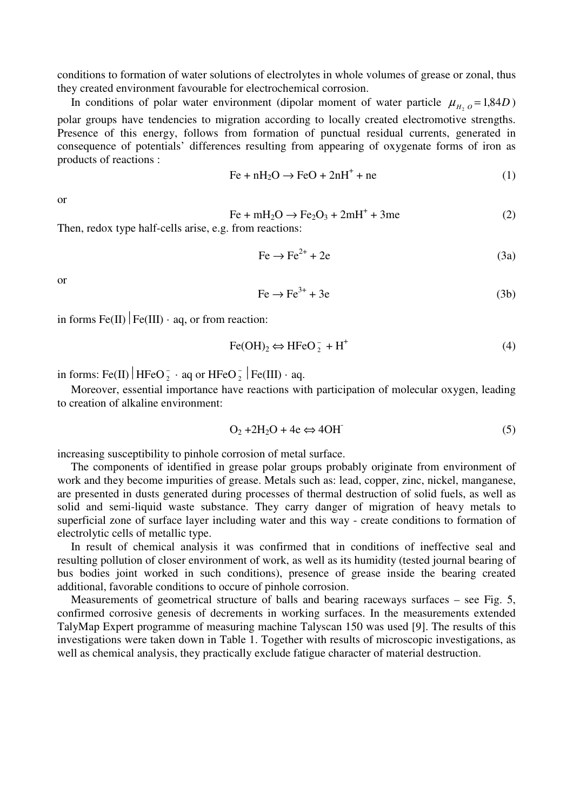conditions to formation of water solutions of electrolytes in whole volumes of grease or zonal, thus they created environment favourable for electrochemical corrosion.

In conditions of polar water environment (dipolar moment of water particle  $\mu_{H_2O} = 1,84D$ ) polar groups have tendencies to migration according to locally created electromotive strengths. Presence of this energy, follows from formation of punctual residual currents, generated in consequence of potentials' differences resulting from appearing of oxygenate forms of iron as products of reactions :

$$
Fe + nH_2O \rightarrow FeO + 2nH^+ + ne
$$
 (1)

or

$$
\text{Fe} + \text{mH}_2\text{O} \rightarrow \text{Fe}_2\text{O}_3 + 2\text{mH}^+ + 3\text{me}
$$
 (2)

Then, redox type half-cells arise, e.g. from reactions:

$$
Fe \rightarrow Fe^{2+} + 2e \tag{3a}
$$

or

$$
\text{Fe} \to \text{Fe}^{3+} + 3\text{e} \tag{3b}
$$

in forms Fe(II)  $Fe(III) \cdot aq$ , or from reaction:

$$
\text{Fe(OH)}_2 \Leftrightarrow \text{HFeO}_2^- + \text{H}^+ \tag{4}
$$

in forms: Fe(II) | HFeO $_2^-$  · aq or HFeO $_2^-$  | Fe(III) · aq.

Moreover, essential importance have reactions with participation of molecular oxygen, leading to creation of alkaline environment:

$$
O_2 + 2H_2O + 4e \Leftrightarrow 4OH \tag{5}
$$

increasing susceptibility to pinhole corrosion of metal surface.

The components of identified in grease polar groups probably originate from environment of work and they become impurities of grease. Metals such as: lead, copper, zinc, nickel, manganese, are presented in dusts generated during processes of thermal destruction of solid fuels, as well as solid and semi-liquid waste substance. They carry danger of migration of heavy metals to superficial zone of surface layer including water and this way - create conditions to formation of electrolytic cells of metallic type.

In result of chemical analysis it was confirmed that in conditions of ineffective seal and resulting pollution of closer environment of work, as well as its humidity (tested journal bearing of bus bodies joint worked in such conditions), presence of grease inside the bearing created additional, favorable conditions to occure of pinhole corrosion.

Measurements of geometrical structure of balls and bearing raceways surfaces – see Fig. 5, confirmed corrosive genesis of decrements in working surfaces. In the measurements extended TalyMap Expert programme of measuring machine Talyscan 150 was used [9]. The results of this investigations were taken down in Table 1. Together with results of microscopic investigations, as well as chemical analysis, they practically exclude fatigue character of material destruction.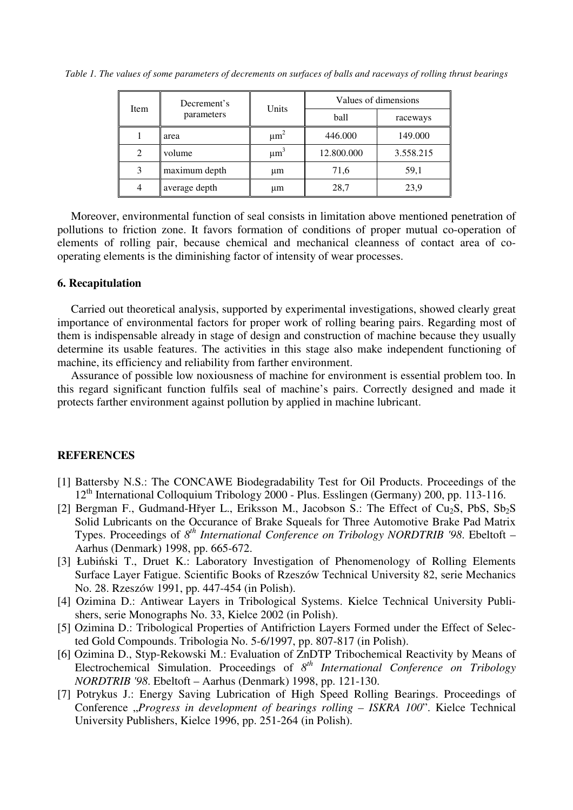*Table 1. The values of some parameters of decrements on surfaces of balls and raceways of rolling thrust bearings* 

| Item | Decrement's<br>parameters | Units                | Values of dimensions |           |
|------|---------------------------|----------------------|----------------------|-----------|
|      |                           |                      | ball                 | raceways  |
|      | area                      | $\mu$ m <sup>2</sup> | 446.000              | 149.000   |
| 2    | volume                    | $\mu$ m <sup>3</sup> | 12.800.000           | 3.558.215 |
| 3    | maximum depth             | μm                   | 71,6                 | 59,1      |
| 4    | average depth             | μm                   | 28,7                 | 23,9      |

Moreover, environmental function of seal consists in limitation above mentioned penetration of pollutions to friction zone. It favors formation of conditions of proper mutual co-operation of elements of rolling pair, because chemical and mechanical cleanness of contact area of cooperating elements is the diminishing factor of intensity of wear processes.

# **6. Recapitulation**

Carried out theoretical analysis, supported by experimental investigations, showed clearly great importance of environmental factors for proper work of rolling bearing pairs. Regarding most of them is indispensable already in stage of design and construction of machine because they usually determine its usable features. The activities in this stage also make independent functioning of machine, its efficiency and reliability from farther environment.

Assurance of possible low noxiousness of machine for environment is essential problem too. In this regard significant function fulfils seal of machine's pairs. Correctly designed and made it protects farther environment against pollution by applied in machine lubricant.

#### **REFERENCES**

- [1] Battersby N.S.: The CONCAWE Biodegradability Test for Oil Products. Proceedings of the 12th International Colloquium Tribology 2000 - Plus. Esslingen (Germany) 200, pp. 113-116.
- [2] Bergman F., Gudmand-Hřyer L., Eriksson M., Jacobson S.: The Effect of Cu<sub>2</sub>S, PbS, Sb<sub>2</sub>S Solid Lubricants on the Occurance of Brake Squeals for Three Automotive Brake Pad Matrix Types. Proceedings of  $8^{th}$  *International Conference on Tribology NORDTRIB '98*. Ebeltoft – Aarhus (Denmark) 1998, pp. 665-672.
- [3] Łubiński T., Druet K.: Laboratory Investigation of Phenomenology of Rolling Elements Surface Layer Fatigue. Scientific Books of Rzeszów Technical University 82, serie Mechanics No. 28. Rzeszów 1991, pp. 447-454 (in Polish).
- [4] Ozimina D.: Antiwear Layers in Tribological Systems. Kielce Technical University Publishers, serie Monographs No. 33, Kielce 2002 (in Polish).
- [5] Ozimina D.: Tribological Properties of Antifriction Layers Formed under the Effect of Selected Gold Compounds. Tribologia No. 5-6/1997, pp. 807-817 (in Polish).
- [6] Ozimina D., Styp-Rekowski M.: Evaluation of ZnDTP Tribochemical Reactivity by Means of Electrochemical Simulation. Proceedings of  $8^{th}$  International Conference on Tribology *NORDTRIB '98*. Ebeltoft – Aarhus (Denmark) 1998, pp. 121-130.
- [7] Potrykus J.: Energy Saving Lubrication of High Speed Rolling Bearings. Proceedings of Conference "Progress in development of bearings rolling - ISKRA 100". Kielce Technical University Publishers, Kielce 1996, pp. 251-264 (in Polish).